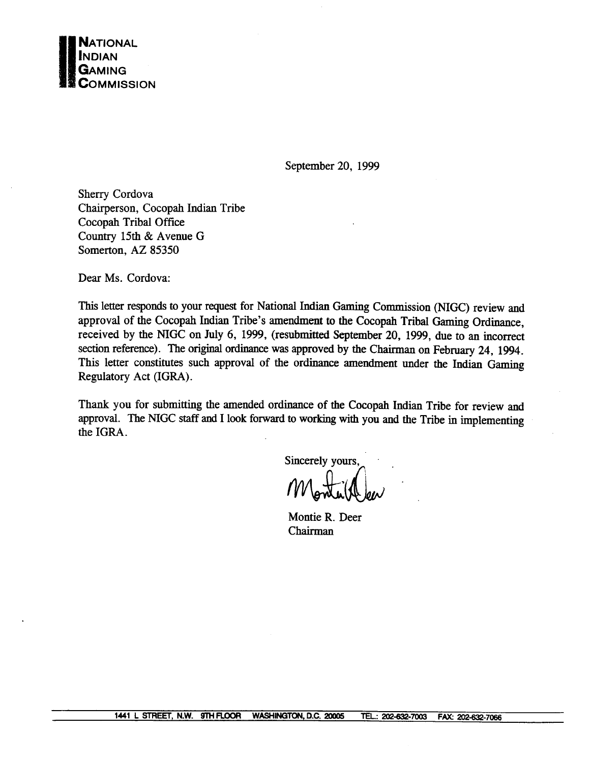

September 20, 1999

Sherry Cordova Chairperson, Cocopah Indian Tribe Cocopah Tribal Office Country 15th & Avenue G Somerton, AZ 85350

Dear Ms. Cordova:

**This** letter responds to your request for National Indian Gaming Commission **(NIGC)** review and approval of the Cocopah Indian Tribe's amendment to the Cocopah Tribal Gaming Ordinance, received by the NIGC on July 6, 1999, (resubmitted September 20, 1999, due to an incorrect section reference). The original ordinance was approved by the Chairman on February 24, 1994. This letter constitutes such approval of the ordinance amendment under the Indian Gaming Regulatory Act (IGRA) .

Thank you for submitting the amended ordinance of the Cocopah Indian Tribe for review and approval. The NIGC staff and I look forward to working with you and the Tribe in implementing the IGRA.

Sincerely yours.

Montie R. Deer Chairman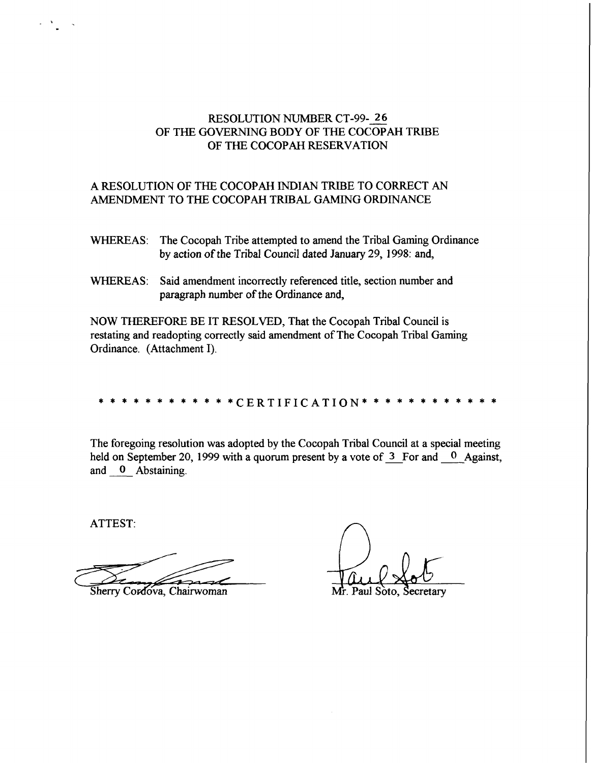# RESOLUTION NUMBER CT-99- 26<br>
OF THE GOVERNING BODY OF THE COCOPAH TRIBE OF THE COCOPAH RESERVATION

## A RESOLUTION OF THE COCOPAH INDIAN TRIBE TO CORRECT AN AMENDMENT TO THE COCOPAH TRIBAL GAMING ORDINANCE

- WHEREAS: The Cocopah Tribe attempted to amend the Tribal Gaming Ordinance by action of the Tribal Council dated January 29, 1998: and,
- WHEREAS: Said amendment incorrectly referenced title, section number and paragraph number of the Ordinance and,

NOW THEREFORE BE IT RESOLVED, That the Cocopah Tribal Council is restating and readopting correctly said amendment of The Cocopah Tribal Gaming Ordinance. (Attachment I).

### \*CERTIFICATION\*

The foregoing resolution was adopted by the Cocopah Tribal Council at a special meeting held on September 20, 1999 with a quorum present by a vote of  $3$  For and  $0$  Against, and **0** Abstaining.

Sherry Cordova, Chairwoman

ATTEST:

Mr. Paul Soto,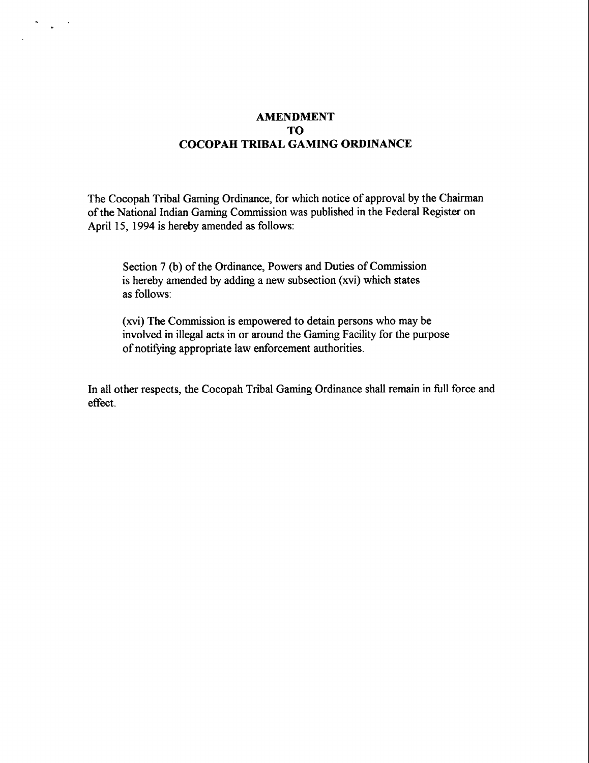## **AMENDMENT TO COCOPAH TRIBAL GAMING ORDINANCE**

 $\mathbf{r}^{(1)}$  $\cdot$ 

> The Cocopah Tribal Gaming Ordinance, for which notice of approval by the Chairman of the National Indian Gaming Commission was published in the Federal Register on April 15, 1994 is hereby amended as follows:

Section 7 (b) of the Ordinance, Powers and Duties of Commission is hereby amended by adding a new subsection **(xvi)** which states as follows:

**(xvi)** The Commission is empowered to detain persons who may be involved in illegal acts in or around the Gaming Facility for the purpose of notifying appropriate law enforcement authorities.

In all other respects, the Cocopah Tribal Gaming Ordinance shall remain in full force and effect.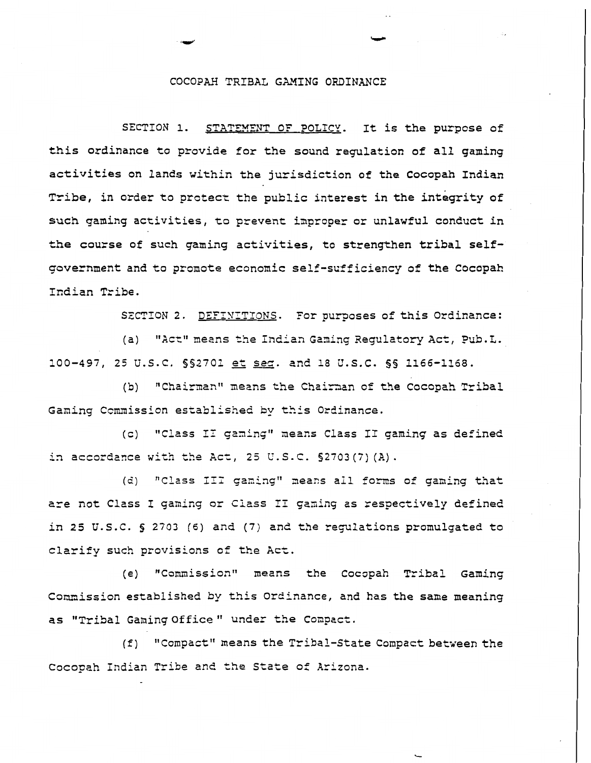#### COCOPAH TRIBAL GAMING **ORDINANCE**

SECTION 1. STATZMENT OF POLICY. It is the purpose of this ordinance to provide for the sound regulation of all gaming activities on lands within the jurisdiction of the Cocopah Indian Tribe. in order to protect the public interest in the integrity **of such** gaming activities, **to** prevent improper or unlawful conduct in **the** course of such gaming activities, to strengthen tribal selfgovernment and to promote economic self-sufficiency of the Cocopah Indian Tribe.

SECTION 2. DEFINITIONS. For purposes of this Ordinance:

(a) "Act" means the Indian Gaming Regulatory Act, Pub. L. **100-497, 25 V.S.C. <sup>552701</sup>**& =. and 18 **U.S.C. 55 1166-1168.** 

(b) "Chairman" means the Chairman of the Cocopah Tribal Gaming Commission established by this Ordinance.

(c) "Class II gaming" means Class II gaming as defined in accordence **wi~h tke** Act, 25 **U.** S. C. **52703** *(7)* **(A)** .

(d) "Class III gaming" means all forms of gaming that are not Class I gaming or Class II gaming as respectively defined in 25 U.S.C. § 2703 (6) and (7) and the regulations promulgated to clarify such provisions of the Act.

(e) "Commission" means the Cocopah Tribal Gaming Comnission established by this Ordinance, and has the same meaning **as** "Tribal Gaming Of £ice " under the **Conpzct.** 

 $(f)$  "Compact" means the Tribal-State Compact between the Cocopah Indian Tribe and the State of Arizona.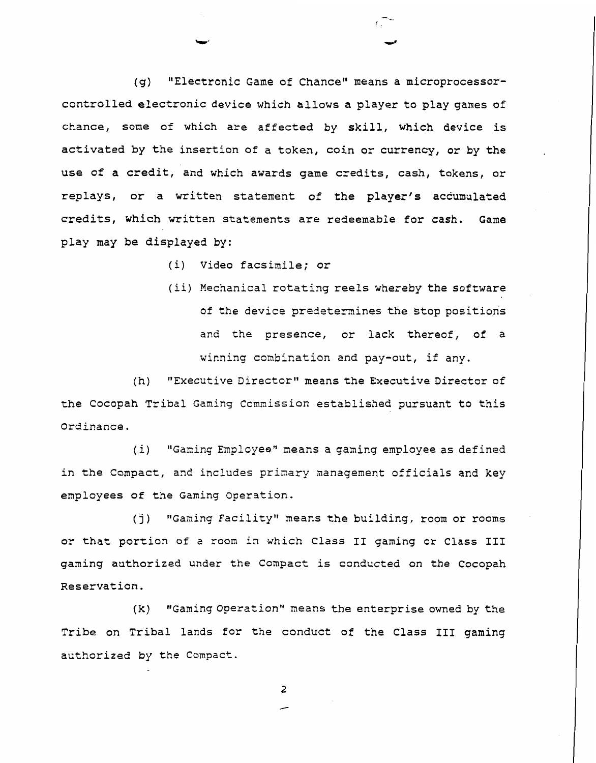(g) "Electronic Game of Chance" means a microprocessorcontrolled electronic device which allows a player to play games of chance, some of which are affected by skill, which device is activated by the insertion of a token, coin or currency, or by the use of a credit, and which awards game credits, cash, tokens, or replays, or a written statement of the player's accumulated credits, which written statements are redeemable for cash. Game play may be displayed by:

(i) Video facsimile; or

(ii) Mechanical rotating reels whereby the software of the device predetermines the stop positions and the presence, or lack thereof, of a winning combination and pay-out, if any.

(h) "Executive Director" means the Executive Director of the Cocopah Tribal Gaming Commission established pursuant to this Ordinance.

(i) "Gaming Employee" means a gaming employee as defined in the Compact, and includes primary management officials and key employees of the Gaming Operation.

(j) "Gaming Facility" means the building, room or rooms or that portion of a room in which Class I1 gaming or Class **I11**  gaming authorized under the Compact is conducted on the Cocopah Reservation.

(k) "Gaming Operation" means the enterprise owned by the Tribe on Tribal lands for the conduct of the Class **I11** gaming authorized by the Compact.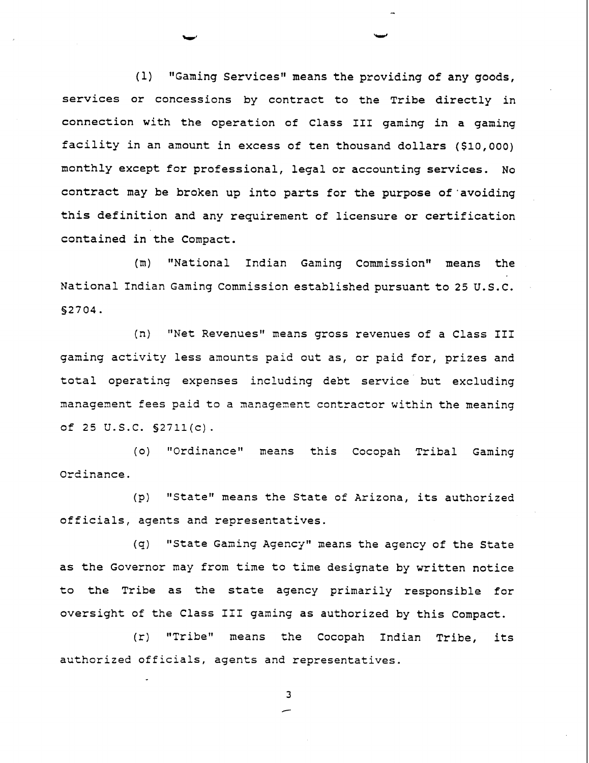$(1)$  "Gaming Services" means the providing of any goods, services or concessions by contract to the Tribe directly in connection with the operation of Class **I11** gaming in a gaming facility in an amount in excess of ten thousand dollars (\$10,000) monthly except for professional, legal or accounting services. No contract may be broken up into parts for the purpose of'avoiding this definition and any requirement of licensure or certification contained in the Compact.

(m) "National Indian Gaming Commissionw means the National Indian Gaming Commission established pursuant to 25 U.S.C. **S2704.** 

(n) "Net Revenues" means gross revenues of a Class III gaming activity less amounts paid out as, or paid for, prizes and total operating expenses including debt service but excluding management fees paid to a management contractor within the meaning of 25 U.S.C. §2711(c).

(o) "Ordinance" means this Cocopah Tribal Gaming Ordinance.

(p) "State" means the State of Arizona, its authorized officials, agents and representatives.

**(q)** Instate Gaming Agency1' means the agency of the State as the Governor may from time to time designate by written notice to the Tribe as the state agency primarily responsible for oversight of the Class I11 gaming as authorized by this Compact.

(r) "Tribe" means the Cocopah Indian Tribe, its authorized officials, agents and representatives.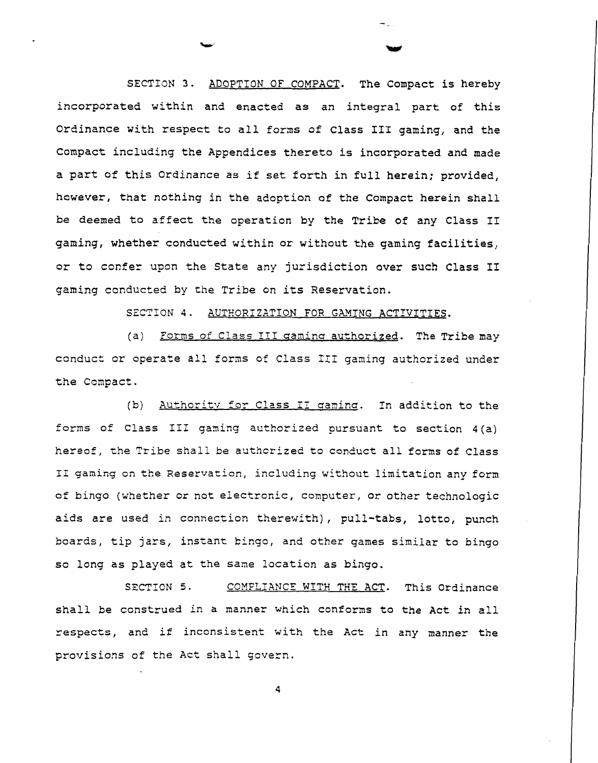SECTION **3.** ADOPTION OF COMPACT. The Compact is hereby incorporated within and enacted as an integral part of this Ordinance with respect to all forms of Class I11 gaming, and the Compact including the Appendices thereto is incorporated and made a part of this Ordinance as if set forth in full herein; provided, hcwever, that nothing in the adoption of the Compact herein shall be deemed to affect the operation by the Tribe of any Class I1 gaming, whether conducted within or without the gaming facilities, or to confer upon the State any jurisdiction over such Class **I1**  gaming conducted by the Tribe on its Reservation.

SECTION 4. AUTHORIZATION FOR GAMING ACTIVITIES.

(a) Forms of Class III gaming authorized. The Tribe may conduct or operate all forms of Class 111 gaming authorized under the Compact.

(b) Authority for Class II gaming. In addition to the forms of Class 111 ganing authorized pursuant to section 4(a) hereof, the Tribe shall be authorized to conduct all forms of Class I1 ganing on the Reservation, including without limitation any form of bingo (whether or not electronic, computer, or other technologic aids are used in connection therewith), pull-tabs, lotto, punch boards, tip jars, instant bingo, and other games similar to bingo so long as played at the sane location as bingo.

SECTION 5. COMPLIANCE WITH THE ACT. This Ordinance shall be construed in a manner which conforms to the Act in all respects, and if inconsistent with the Act in any manner the provisions of the Act shall govern.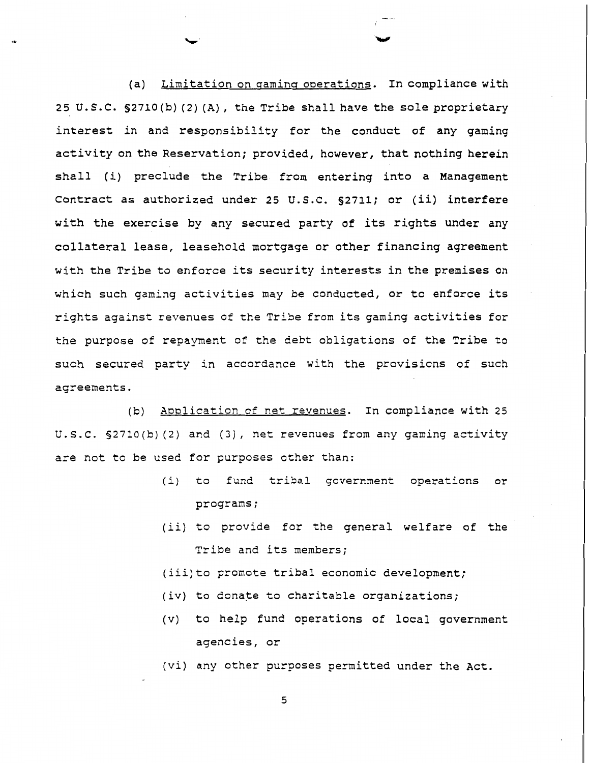(a) Limitation on gaming operations. In compliance with 25 U.S.C. §2710(b) (2) (A), the Tribe shall have the sole proprietary interest in and responsibility for the conduct of any gaming activity on the Reservation; provided, however, that nothing herein shall (i) preclude the Tribe from entering into a Management Contract as authorized under 25 U.S.C. 52711; or (ii) interfere with the exercise by any secured party of its rights under any collateral lease, leasehold mortgage or other financing agreement with the Tribe to enforce its security interests in the premises on which such gaming activities may be conducted, or to enforce its rights against revenues of the Tribe from its gaming activities for the purpose of repayment of the debt obligations of the Tribe to such secured party in accordance with the provisions of such aqreements.

(b) Application of net revenues. In compliance with 25 U. S. C. 52710 **(b) (2)** and (3) , net revenues from any gaming activity are not to be used for purposes other than:

- (i) to fund tribal government operations or programs ;
- (ii) to provide for the general welfare of the Tribe and its members;
- (iii)to promote tribal economic development;
- (iv) to donate to charitable organizations;
- (v) to help fund operations of local government agencies, or
- (vi) any other purposes permitted under the Act.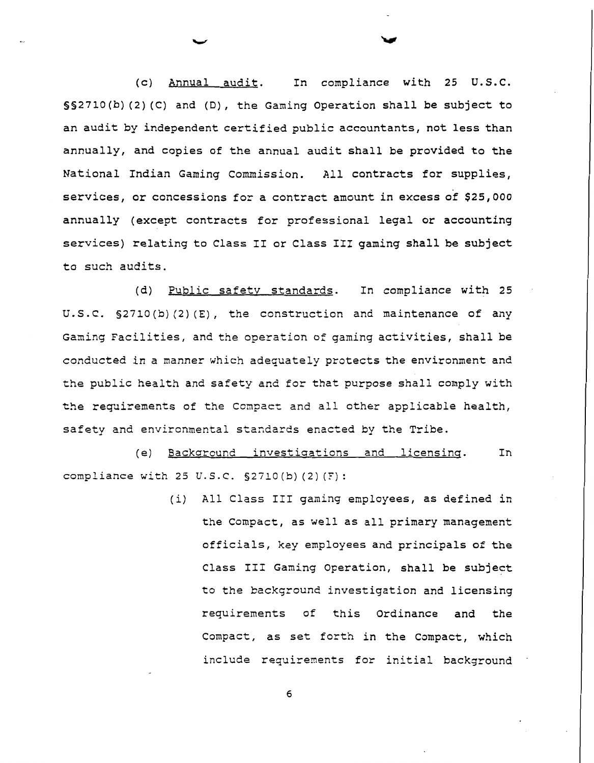(c) Annual audit. In compliance with 25 U.S.C.  $S(2710(b) (2) (C)$  and  $(D)$ , the Gaming Operation shall be subject to an audit by independent certified public accountants, not less than annually, and copies of the annual audit shall be provided to the National Indian Gaming Commission. All contracts for supplies, services, or concessions for a contract amount in excess of \$25,000 annually (except contracts for professional legal or accounting services) relating to Class I1 or Class I11 gaming shall be subject to such audits.

(d) Public safetv standards. In compliance with 25 U.S.C. §2710(b)(2)(E), the construction and maintenance of any Gaming Facilities, and the operation of gaming activities, shall be conducted in a manner which adequately protects the environment and the public health and safety and for that purpose shall comply with the requirements of the Conpacz and all other applicable health, safety and envircnmental standards enacted by the Tribe.

(e) Backaround investiaations and licensing. In **compliance** with 25 **U.S.C.** S2710 (b) (2) (F) :

> (i) All Class I11 gaming employees, as defined in the Compact, as well as all primary management officials, key employees and principals of the Class I11 Gaming Operation, shall be subject to the background investigation and licensing requirements of this Ordinance and the Compact, as set forth in the Compact, which include requirements for initial background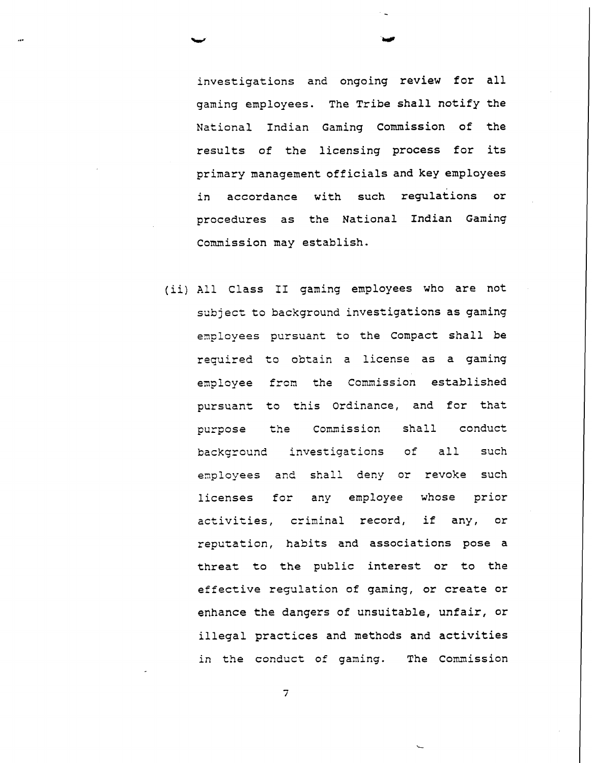investigations and ongoing review for all gaming employees. The Tribe shall notify the National Indian Gaming Commission of the results of the licensing process for its primary management officials and key employees in accordance with such regulations or procedures as the National Indian Gaming Commission may establish.

(ii) All Class I1 gaming employees who are not subject to background investigations as gaming employees pursuant to the Compact shall be required to obtain a license as a gaming employee from the Commission established pursuant to this Ordinance, and for that purpose the Commission shall conduct background investigations of all such employees and shall deny or revoke such licenses for any employee whose prior activities, criminal record, if any, or reputation, habits and associations pose a threat to the public interest or to the effective requlation of gaming, or create or enhance the dangers of unsuitable, unfair, or illegal practices and methods and activities in the conduct of gaming. The Commission

 $\overline{7}$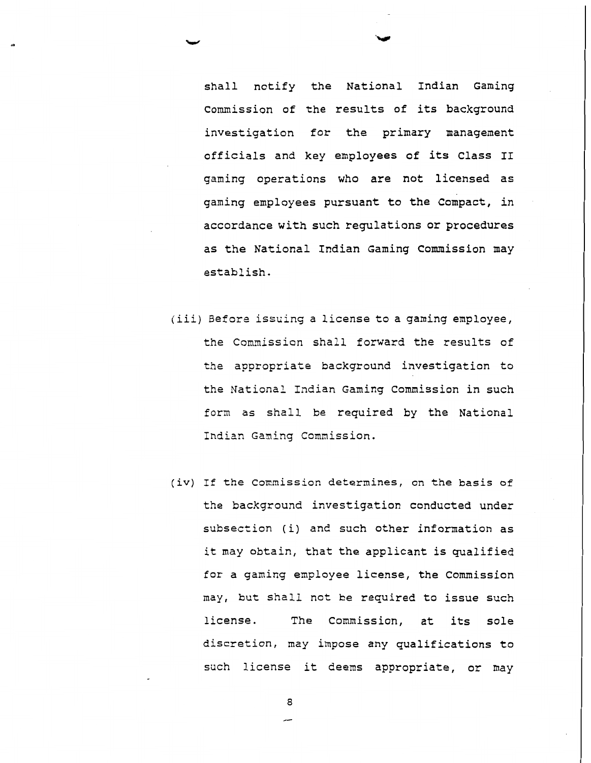shall notify the National Indian Gaming Commission of the results of its background investigation for the primary management officials and key employees of its Class I1 gaming operations who are not licensed as gaming employees pursuant to the compact, in accordance with such regulations or procedures as the National Indian Gaming Commission may establish.

- (iii) Before issuing a license to a gaming employee, the Commission shall forward the results of the appropriate background investigation to the National Indian Gaming Commission in such form as shall be required by the National Indian Ganing Commission.
- (iv) If the Commission determines, on the basis of the background investigation conducted under subsection (i) and such other infornation as it may obtain, that the applicant is qualified for a gaming employee license, the Commission may, but shall not be required to issue such license. The Commission, at its sole discretion, may impose any qualifications to such license it deems appropriate, or may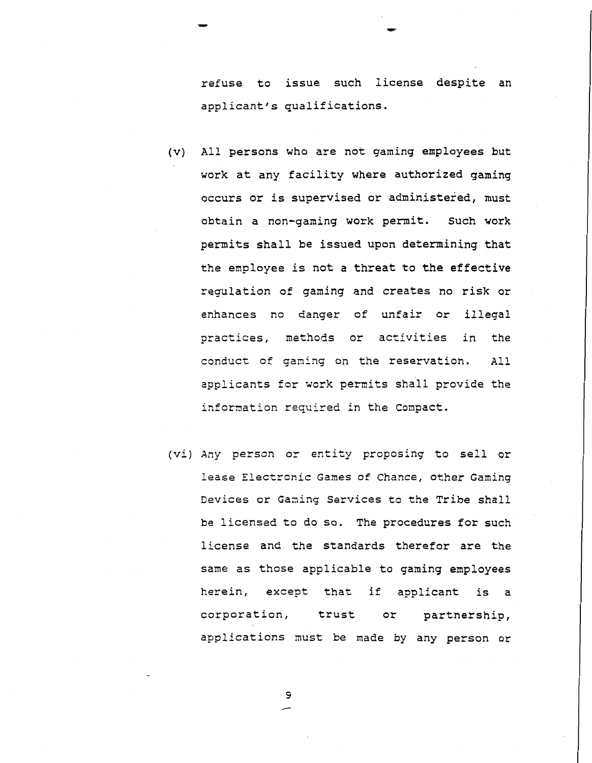refuse to issue such license despite an applicant's qualifications.

- (v) All persons who are not gaming employees but work at any facility where authorized gaming occurs or is supervised or administered, must obtain a non-gaming work permit. Such work permits shall be issued upon determining that the employee is not a threat to the effective regulation of gaming and creates no risk or enhances no danger of unfair or illegal practices, methods or activities in the conduct of gaming on the reservation. All applicants for work permits shall provide the information required in the Compact.
- (vi) Any person or entity proposing to sell or lease Electronic Games of Chance, other Gaming Devices or Gaming Services to the Tribe shall be licensed to do so. The procedures for such license and the standards therefor are the same as those applicable to gaming employees herein, except that if applicant is a corporation, trust or partnership, applications must be made by any person or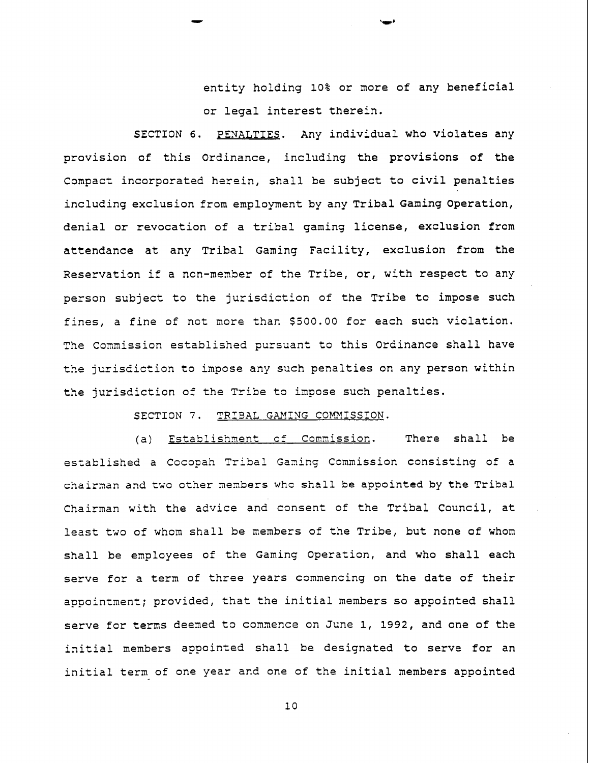entity holding 10% or more of any beneficial or legal interest therein.

SECTION 6. PENALTIES. Any individual who violates any provision of this Ordinance, including the provisions of the Compact incorporated herein, shall be subject to civil penalties including exclusion from employment by any Tribal Gaming Operation, denial or revocation of a tribal gaming license, exclusion from attendance at any Tribal Gaming Facility, exclusion from the Reservation if a ncn-member of the Tribe, or, with respect to any person subject to the jurisdiction of the Tribe to impose such fines, a fine of not more than \$500.00 for each such violation. The Commission established pursuant to this Ordinance shall have the jurisdiction to impose any such penalties on any person within the jurisdiction of the Tribe to impose such penalties.

SECTION 7. TRIBAL GAMING COMMISSION.

(a) Establishment of Commission. There shall be established a Cocopah Tribal Gaming Commission consisting of a chairnan and two other mernbers **whc** shall be appointed by the Tribal Chairman with the advice and consent of the Tribal Council, at least two of whom shall be menbers of the Tribe, but none of whom shall be employees of the Gaming Operation, and who shall each serve for a term of three years commencing on the date of their appointment; provided, that the initial members so appointed shall serve for terms deened to comnence on June 1, 1992, and one of the initial members appointed shall be designated to serve for an initial term of one year and one of the initial members appointed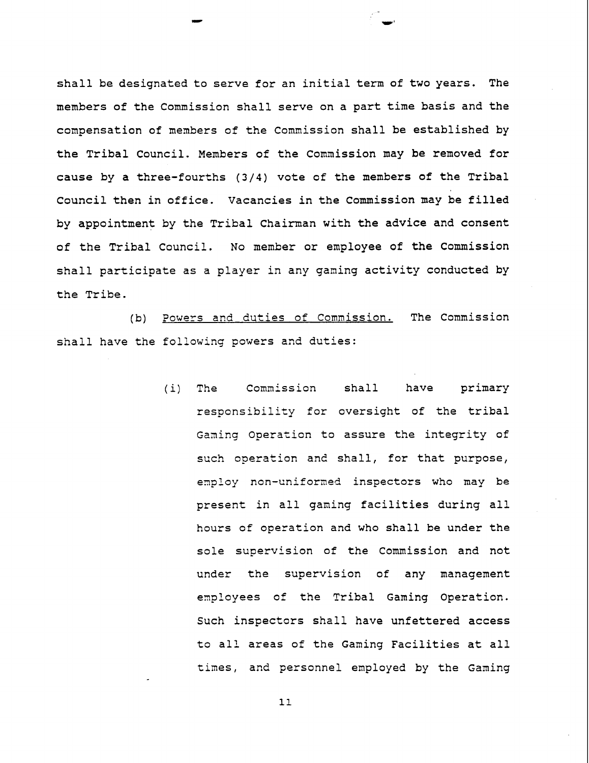shall be designated to serve for an initial term of two years. The members of the Commission shall serve on a part time basis and the compensation of members of the Commission shall be established by the Tribal Council. Members of the Commission may be removed for cause by a three-fourths **(314)** vote of the members of the Tribal Council then in office. Vacancies in the Commission may be filled by appointment by the Tribal Chairman with the advice and consent of the Tribal Council. No member or employee of the Commission shall participate as a player in any ganing activity conducted by the Tribe.

(b) Powers and duties of Commission. The Commission shall have the following powers and duties:

> $(i)$ The Commission shall have primary responsibility for oversight of the tribal Gaming Operation to assure the integrity of such operation and shall, for that purpose, employ non-uniformed inspectors who may be present in all ganing facilities during all hours of operation and who shall be under the sole supervision of the Commission and not under the supervision of any management employees of the Tribal Gaming Operation. Such inspectors shall have unfettered access to all areas of the Gaming Facilities at all times, and personnel employed by the Gaming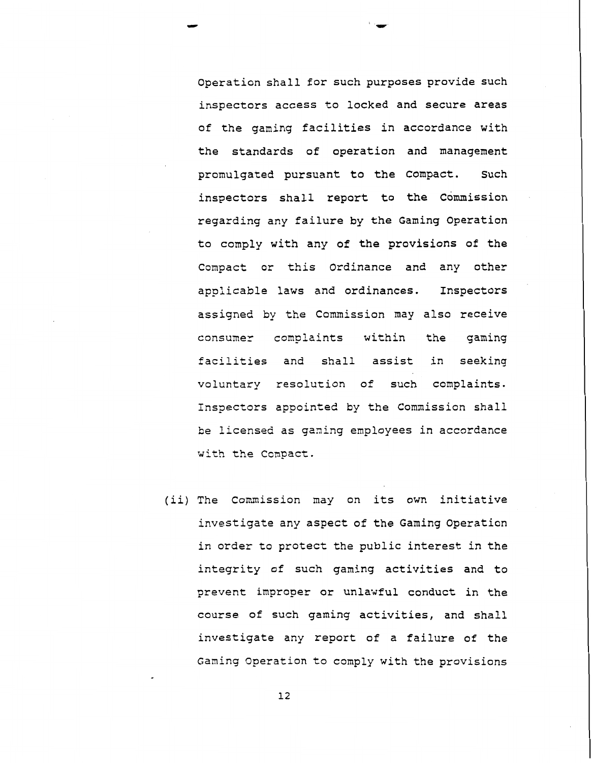Operation shall for such purposes provide such inspectors access to locked and secure areas of the gaming facilities in accordance with the standards of operation and management promulgated pursuant to the Compact. Such inspectors shall report to the Commission regarding any failure by the Gaming Operation to comply with any of the provisions of the Compact or this Ordinance and any other applicable laws and ordinances. Inspectors assigned by the Commission may also receive consumer complaints within the gaming facilities and shall assist in seeking voluntary resolution of such complaints. Inspectors appointed by the Commission shall be licensed as ganing employees in accordance with the Compact.

(ii) The Commission may on its own initiative investigate any aspect of the Gaming Operation in order to protect the public interest in the integrity of such gaming activities and to prevent improper or unlawful conduct in the course of such gaming activities, and shall investigate any report of a failure of the Gaming Operation to comply with the provisions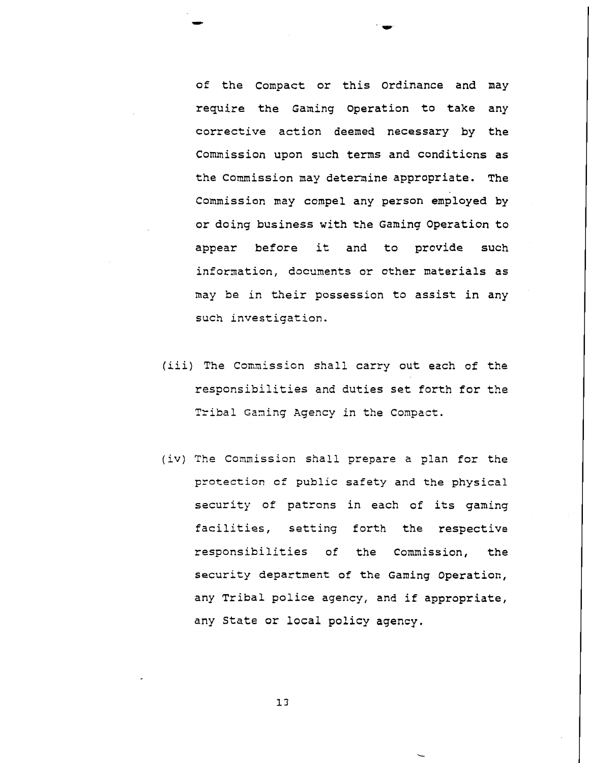of the Compact or this Ordinance and may require the Gaming Operation to take any corrective action deemed necessary by the Commission upon such terms and conditions as the Commission may determine appropriate. The Commission may compel any person employed by or doing business with the Gaming Operation to appear before it and to provide such infornation, documents or other materials as may be in their possession to assist in any such investigation.

- (iii) The Comnission shall carry out each of the responsibilities and duties set forth for the Tribal Gaming Agency in the Compact.
- (iv) The Commission shall prepare a plan for the protection **cf** public safety and the physical security of patrons in each of its gaming facilities, setting forth the respective responsibilities of the Commission, the security department of the Gaming Operation, any Tribal police agency, and if appropriate, any State or local policy agency.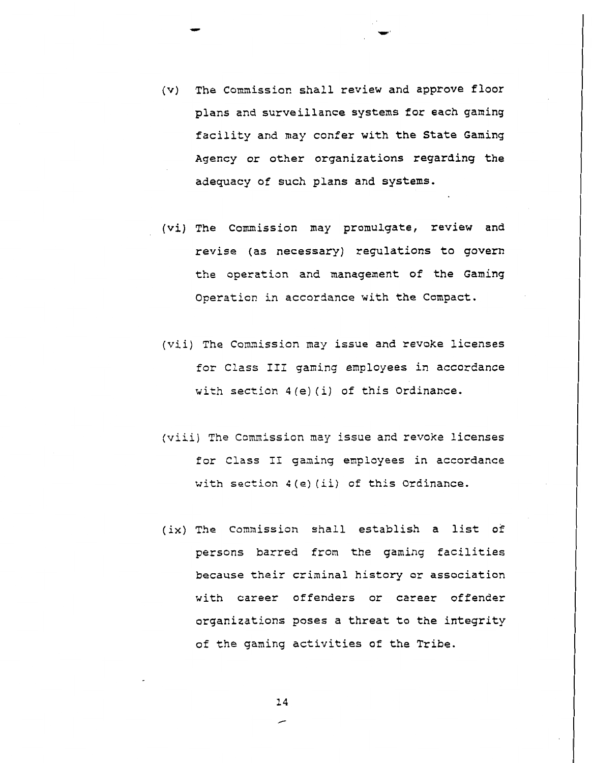- (v) The Commission shall review and approve floor plans and surveillance systems for each gaming facility and may confer with the State Gaming Agency or other organizations regarding the adequacy of such plans and systems.
- (vi) The Commission may promulgate, review and revise (as necessary) regulations to govern the operation and management of the Gaming Operation in accordance with the Compact.
- (vii) The Commission may issue and revoke licenses for Class III gaming employees in accordance with section **4(e)** (i) of this Ordinance.
- (viii) The Commission may issue and revoke licenses for Class I1 gaming employees in accordance with section 4 (e) (ii) of this Ordinance.
- (ix) The Commission shall establish a list of persons barred from the gaming facilities because their criminal history or association with career offenders or career offender organizations poses a threat to the integrity of the gaming activities of the Tribe.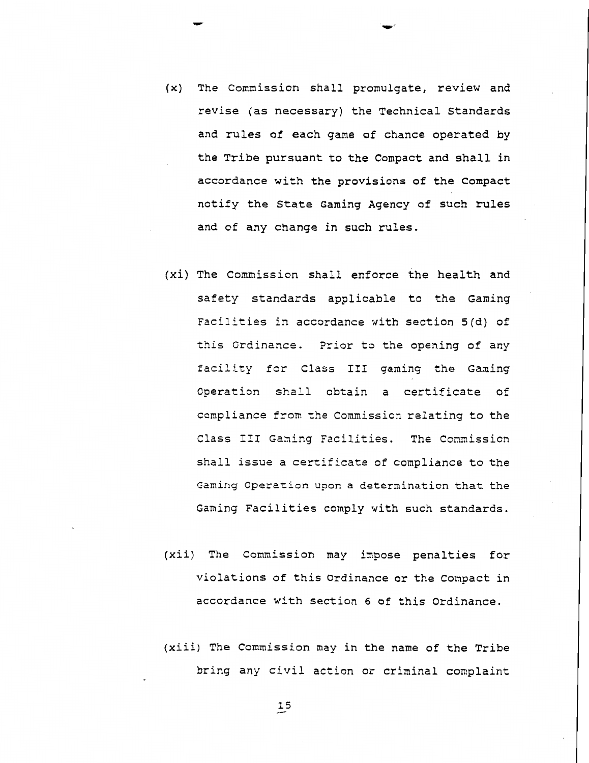- (x) The Comnission shall promulgate, review and revise (as necessary) the Technical Standards and rules of each game of chance operated by the Tribe pursuant to the Compact and shall in accordance with the provisions of the Compact notify the State Gaming Agency of such rules and of any change in such rules.
- **(xi)** The Commission shall enforce the health and safety standards applicable to the Gaming Facilities in accordance with section 5(d) of this Ordinance. Prior to the opening of any fdcility for Class I11 gaming the Gaming Operation shall obtain a certificate of compliance from the Commission relating to the Class III Gaming Facilities. The Commission shall issue a certificate of compliance to the Gaming Operation upon a determination that the Gaming Facilities comply with such standards.
- (xii) The Commission may impose penalties for violations of this Ordinance or the Compact in accordance with section 6 of this Ordinance.
- (xiii) The Commission may in the name of the Tribe bring any civil action or criminal complaint

 $\overline{15}$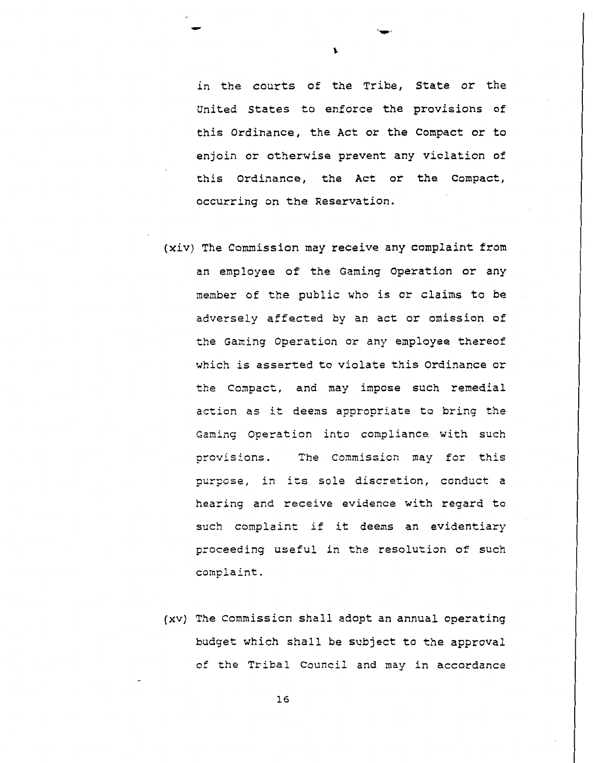in the courts of the Tribe, State or the United States to enforce the provisions of this Ordinance, the Act or the Compact or to enjoin or otherwise prevent any violation of this Ordinance, the Act or the Compact, occurring on the Reservation.

- (xiv) The Commission may receive any complaint from an employee of the Gaming Operation or any member of the public who is or claims to be adversely affected by an act or omission of the Ganing Operation or any employee thereof which is asserted to violate this Ordinance or the Compact, and may impose such remedial action as it deems appropriate to bring the Gaming Operation into compliance with such provisions. The Commission may for this purpose, in its sole discretion, conduct a hearing and receive evidence with regard to such complaint if it deems an evidentiary proceeding useful in the resolution of such complaint.
- (xv) The Commissicn shall adopt an annual operating budget which shall be subject to the approval of the Tribal Council and may in accordance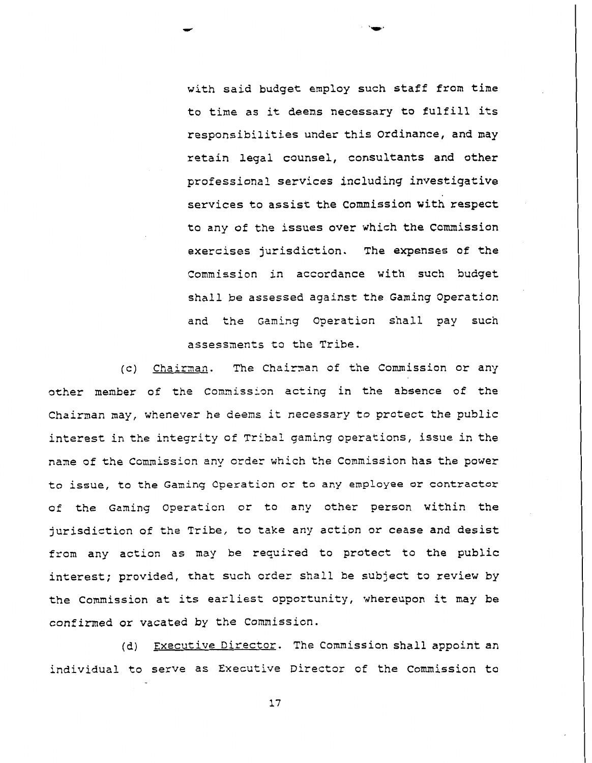with said budget employ such staff from time to time as it deens necessary to fulfill its responsibilities under this ordinance, and may retain legal counsel, consultants and other professional services including investigative services to assist the commission with respect to any of the issues over which the commission exercises jurisdiction. The expenses of the Commission in accordance with such budget shall be assessed against the Gaming operation and the Gaming Operation shall pay such assessments to the Tribe.

(c) Chairaan. The Chairnan of the Commission or any other member of the Commission acting in the absence of the Chairman may, whenever he deens it necessary to protect the public interest in the integrity of Tribal gaming operations, issue in the name of the Commission any order which the Commission has the power to issue, to the Gamin9 **Operation** or to any employee or contractor of the Gaming Operation or to any other person within the jurisdiction of the Tribe, to take any action or cease and desist from any action as may be required to protect to the public interest; provided, that such order shall be subject to review by the Commission at its earliest opportunity, whereupon it may be confirmed or vacated by the Commission.

(d) Executive Director. The Commission shall appoint an individual to serve as Executive Director of the Commission to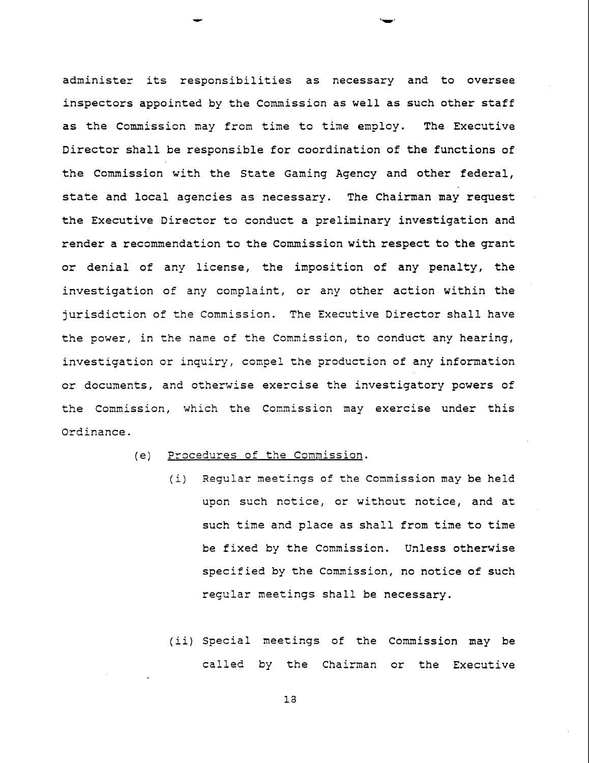administer its responsibilities as necessary and to oversee inspectors appointed by the Commission as well as such other staff as the Commission may from time to time employ. The Executive Director shall be responsible for coordination of the functions of the Commission with the State Gaming Agency and other federal, state and local agencies as necessary. The Chairman may request the Executive Director to conduct a preliminary investigation and render a recommendation to the Commission with respect to the grant or denial of any license, the imposition of any penalty, the investigation of any complaint, or any other action within the jurisdiction of the Commission. The Executive Director shall have the power, in the name of the Commission, to conduct any hearing, investigation or inquiry, compel the production of any information or documents, and otherwise exercise the investigatory powers of the Commission, which the Commission may exercise under this Ordinance.

- (e) Procedures of the Comnission.
	- (i) Regular meetings of the Commission may be held upon such notice, or without notice, and at such time and place as shall from time to time be fixed by the Commission. Unless otherwise specified by the Comnission, no notice of such reqular meetings shall be necessary.
	- (ii) Special meetings of the Commission may be called by the Chairman or the Executive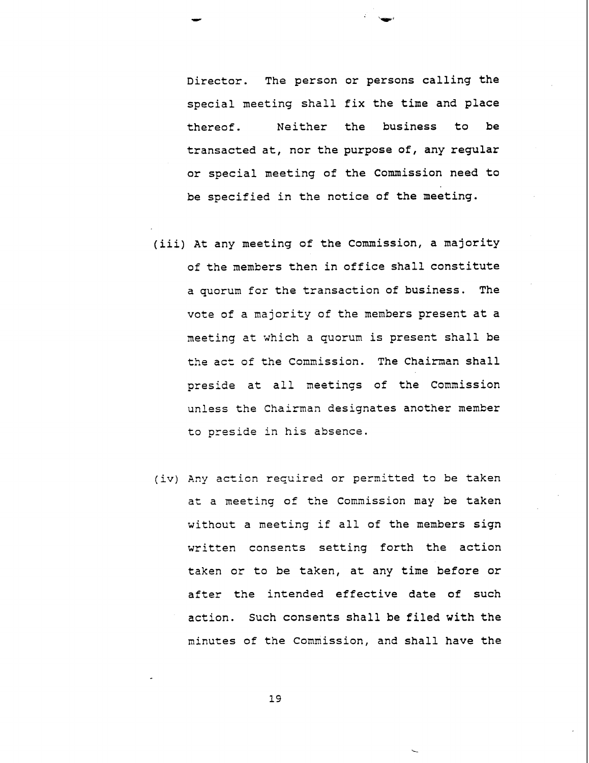Director. The person or persons calling the special meeting shall fix the time and place thereof. Neither the business to be transacted at, nor the purpose of, any regular or special meeting of the Commission need to be specified in the notice of the meeting.

- (iii) At any meeting of the Commission, a majority of the members then in office shall constitute a quorum for the transaction of business. The vote of a majority of the members present at a meeting at which a quorum is present shall be the act of the Commission. The Chairman shall preside at all meetings of the Commission unless the Chairman designates another member to preside in his absence.
- (iv) Any acticn required or permitted to be taken at a meeting of the Commission may be taken without a meeting if all of the members sign written consents setting forth the action taken or to be taken, at any time before or after the intended effective date of such action. Such consents shall be filed with the minutes of the Connission, and shall have the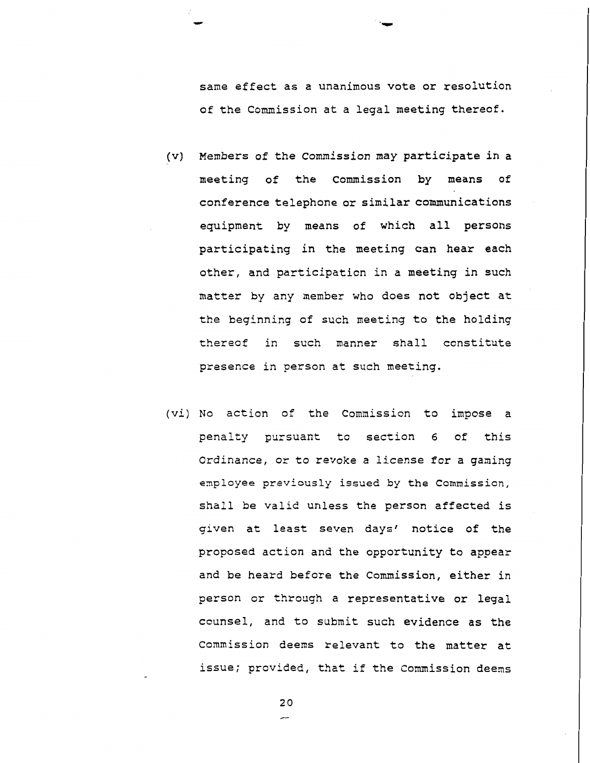same effect as a unanimous vote or resolution of the Commission at a legal meeting thereof.

- (v) Members of the Commission may participate in a meeting of the Commission by means of conference telephone or similar communications equipment by means of which all persons participating in the meeting can hear each other, and participation in a meeting in such matter by any member who does not object at the beginning of such meeting to the holding thereof in such manner shall constitute presence in person at such meeting.
- (vi) No action of the Commission to impose a penalty pursuant to section 6 of this Ordinance, or to revoke a license for a gaming **employee previously issued by the** Commission, shall be valid unless the person affected is given at least seven days' notice of the proposed action and the opportunity to appear and be heard before the Commission, either in person or through a representative or legal counsel, and to submit such evidence as the Commission deems relevant to the matter at issue; provided, that if the Commission deem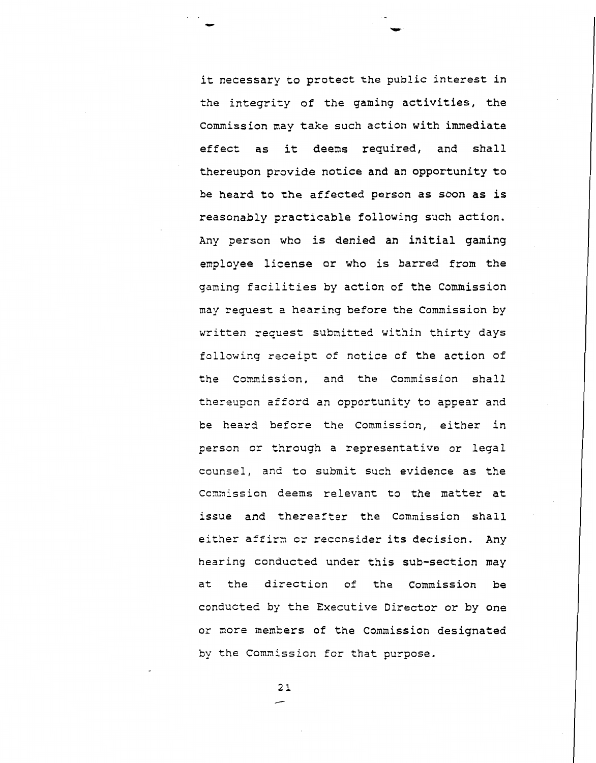it necessary to protect the public interest in the integrity of the gaming activities, the Commission may take such action with immediate effect as it deems required, and shall thereupon provide notice and an opportunity to be heard to the affected person as sbon as is reasonably practicable following such action. Any person who is denied an initial gaming employee license or who is barred from the gaming facilities by action of the Commission may request a hearing before the Commission by written request submitted within thirty days following receipt of notice of the action of the Commission, and the Commission shall thereupon afford an opportunity to appear and **be** heard befcre the Commission, either in person or through a representative or legal counsel, and to submit such evidence as the Ccamission deems relevant to the matter at issue and thereaftor the Commission shall either affirm or reconsider its decision. Any hearing conducted under this sub-section may at the direction of the Commission be conducted by the Executive Director or by one or more members of the Commission designated by the Commission for that purpose.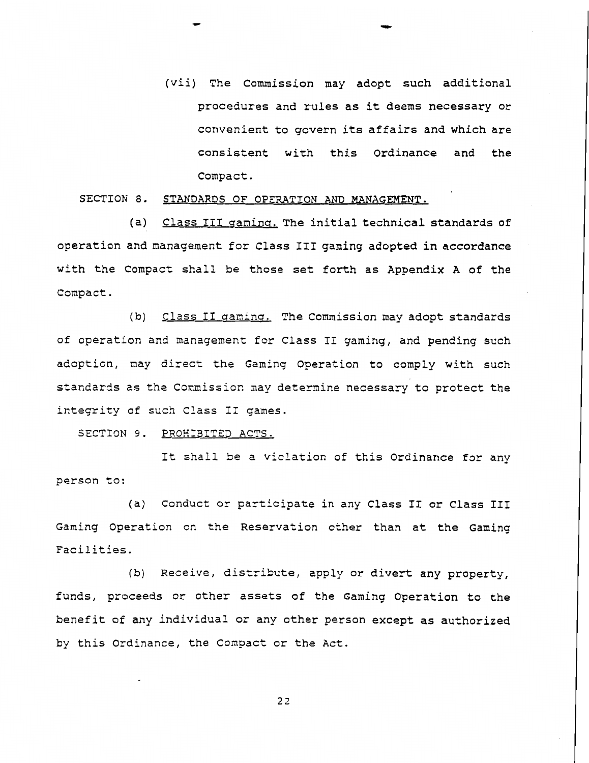(vii) The Commission may adopt such additional procedures and rules as it deems necessary or convenient to govern its affairs and which are consistent with this Ordinance and the Compact.

#### SECTION 8. STANDARDS OF OPERATION AND MANAGEMENT.

(a) Class III gaming. The initial technical standards of operation and management for Class 111 gaming adopted in accordance with the Compact shall be those set forth as Appendix A of the Compact.

(b) Class II gaming. The Commission may adopt standards of operation and management for Class I1 gaming, and pending such adoption, may direct the Gaming Operation to comply with such standards as the Commission may determine necessary to protect the integrity of such Class II games.

SECTION 9. PROHIBITED ACTS.

It shall **be** a violation of this Ordinance for any person to:

(a) Conduct or participate in any Class **I1** or Class I11 Gaming Operation on the Reservation other than at the Gaming Facilities.

**(b)** Receive, distribute, apply or divert any property, funds, proceeds or other assets of the Gaming Operation to the benefit of any individual or any other person except as authorized by this Ordinance, the Conpact or the Act.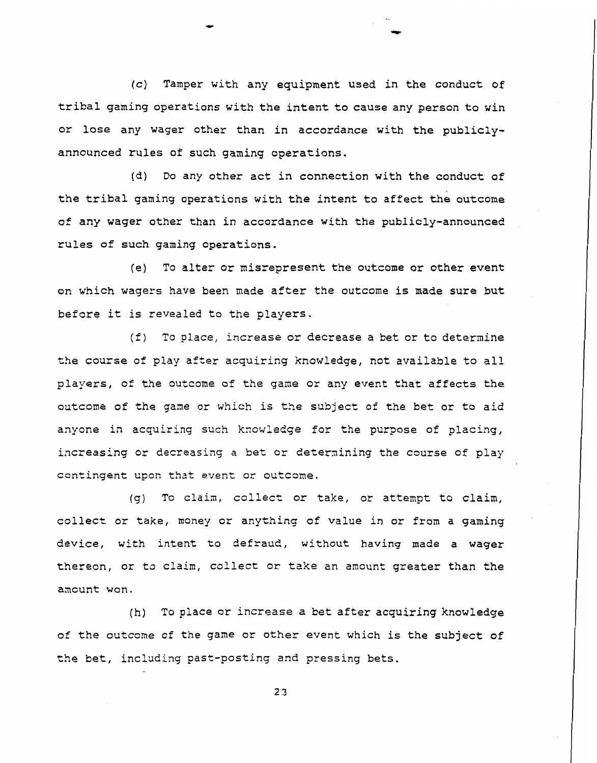(c) Tamper with any equipment used in the conduct of tribal gaming operations with the intent to cause any person to win or lose any wager other than in accordance with the publiclyannounced rules of such gaming operations.

**(d)** Do any other act in connection with the conduct of the tribal gaming operations with the intent to affect the outcome of any wager other than in accordance with the publicly-announced rules of such gaming operations.

**(e)** To alter or misrepresent the outcome or other event on which wagers have been made after the outcome is made sure but before it is revealed to the players.

(f) To place, increase or decrease a bet or to determine the course of play after acquiring knowledge, not available to all players, of the outcome of the game or any event that affects the outcome of the game or which is the subject of the bet or to aid anyone in acquiring such knowledge for the purpose of placing, increasing or decreasing a bet or deternining the course of play contingent upon that event or outcome.

(g) To claim, collect or take, or attempt to claim, collect or take, money or anything of value in or from a gaming device, with intent to defraud, without having made a wager thereon, or to claim, collect or take an amcunt greater than the ancunt won.

(h) To place or increase a bet after acquiring knowledge of the outcome of the game or other event which is the subject of the bet, including past-posting and pressing bets.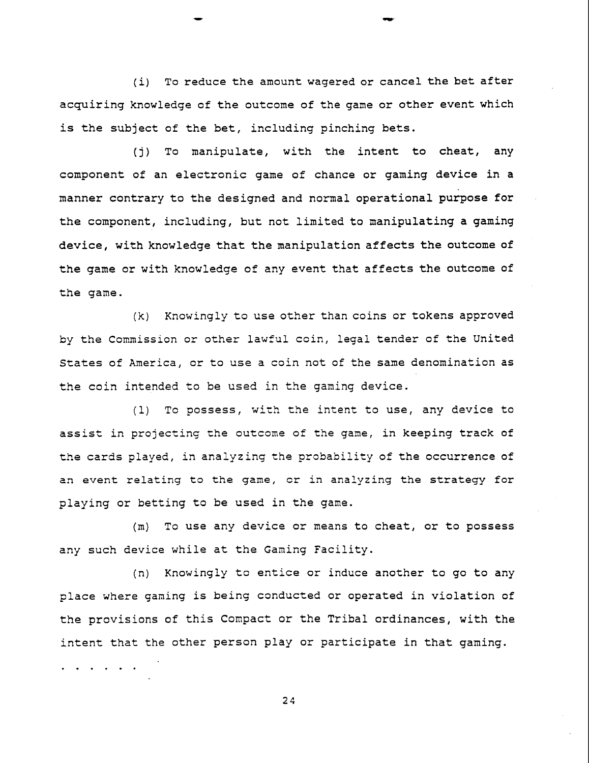(i) To reduce the amount wagered or cancel the bet after acquiring knowledge of the outcome of the game or other event which is the subject of the bet, including pinching bets.

(j) To manipulate, with the intent to cheat, any component of an electronic game of chance or gaming device in a manner contrary to the designed and normal operational purpose for the component, including, but not limited to manipulating a gaming device, with knowledge that the manipulation affects the outcome of the game or with knowledge of any event that affects the outcome of the game.

(k) Knowingly to use other than coins or tokens approved by the Commission or other lawful coin, legal tender of the United States of America, or to use a coin not of the same denomination as the coin intended to be used in the gaming device.

(1) To possess, wich the intent to use, any device to assist in projecting the outcome of the game, in keeping track of the cards played, in analyzing the probability of the occurrence of an event relating to the game, cr in analyzing the strategy for playing or betting to be used in the game.

(m) To use any device or means to cheat, or to possess any such device while at the Gaming Facility.

(n) Knowingly to entice or induce another to go to any place where gaming is being conducted or operated in violation of the provisions of this Compact or the Tribal ordinances, with the intent that the other person play or participate in that gaming.  $\cdots$